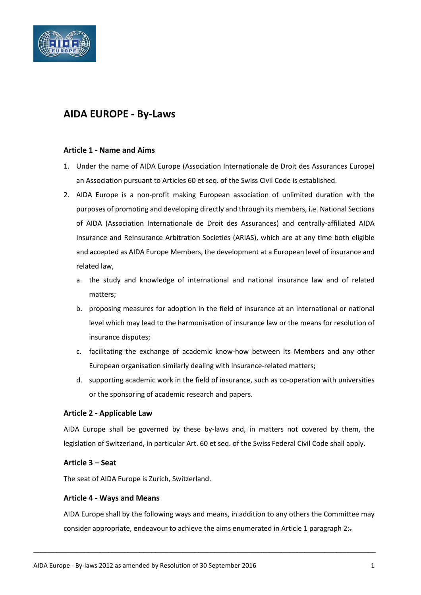

# **AIDA EUROPE - By-Laws**

#### **Article 1 - Name and Aims**

- 1. Under the name of AIDA Europe (Association Internationale de Droit des Assurances Europe) an Association pursuant to Articles 60 et seq. of the Swiss Civil Code is established.
- 2. AIDA Europe is a non-profit making European association of unlimited duration with the purposes of promoting and developing directly and through its members, i.e. National Sections of AIDA (Association Internationale de Droit des Assurances) and centrally-affiliated AIDA Insurance and Reinsurance Arbitration Societies (ARIAS), which are at any time both eligible and accepted as AIDA Europe Members, the development at a European level of insurance and related law,
	- a. the study and knowledge of international and national insurance law and of related matters;
	- b. proposing measures for adoption in the field of insurance at an international or national level which may lead to the harmonisation of insurance law or the means for resolution of insurance disputes;
	- c. facilitating the exchange of academic know-how between its Members and any other European organisation similarly dealing with insurance-related matters;
	- d. supporting academic work in the field of insurance, such as co-operation with universities or the sponsoring of academic research and papers.

## **Article 2 - Applicable Law**

AIDA Europe shall be governed by these by-laws and, in matters not covered by them, the legislation of Switzerland, in particular Art. 60 et seq. of the Swiss Federal Civil Code shall apply.

#### **Article 3 – Seat**

The seat of AIDA Europe is Zurich, Switzerland.

#### **Article 4 - Ways and Means**

AIDA Europe shall by the following ways and means, in addition to any others the Committee may consider appropriate, endeavour to achieve the aims enumerated in Article 1 paragraph 2:-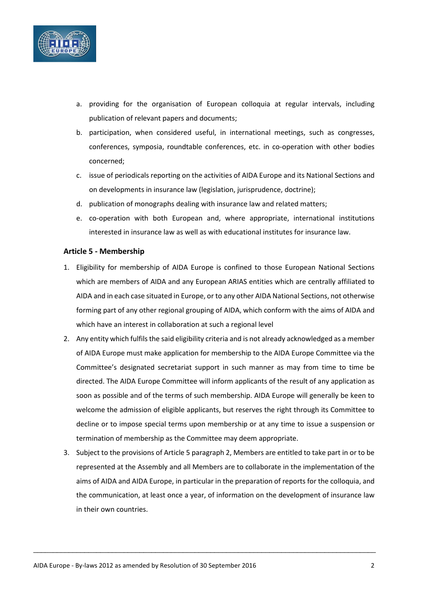

- a. providing for the organisation of European colloquia at regular intervals, including publication of relevant papers and documents;
- b. participation, when considered useful, in international meetings, such as congresses, conferences, symposia, roundtable conferences, etc. in co-operation with other bodies concerned;
- c. issue of periodicals reporting on the activities of AIDA Europe and its National Sections and on developments in insurance law (legislation, jurisprudence, doctrine);
- d. publication of monographs dealing with insurance law and related matters;
- e. co-operation with both European and, where appropriate, international institutions interested in insurance law as well as with educational institutes for insurance law.

#### **Article 5 - Membership**

- 1. Eligibility for membership of AIDA Europe is confined to those European National Sections which are members of AIDA and any European ARIAS entities which are centrally affiliated to AIDA and in each case situated in Europe, or to any other AIDA National Sections, not otherwise forming part of any other regional grouping of AIDA, which conform with the aims of AIDA and which have an interest in collaboration at such a regional level
- 2. Any entity which fulfils the said eligibility criteria and is not already acknowledged as a member of AIDA Europe must make application for membership to the AIDA Europe Committee via the Committee's designated secretariat support in such manner as may from time to time be directed. The AIDA Europe Committee will inform applicants of the result of any application as soon as possible and of the terms of such membership. AIDA Europe will generally be keen to welcome the admission of eligible applicants, but reserves the right through its Committee to decline or to impose special terms upon membership or at any time to issue a suspension or termination of membership as the Committee may deem appropriate.
- 3. Subject to the provisions of Article 5 paragraph 2, Members are entitled to take part in or to be represented at the Assembly and all Members are to collaborate in the implementation of the aims of AIDA and AIDA Europe, in particular in the preparation of reports for the colloquia, and the communication, at least once a year, of information on the development of insurance law in their own countries.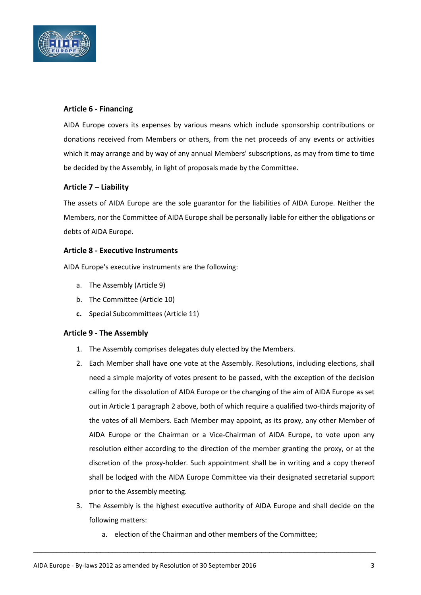

## **Article 6 - Financing**

AIDA Europe covers its expenses by various means which include sponsorship contributions or donations received from Members or others, from the net proceeds of any events or activities which it may arrange and by way of any annual Members' subscriptions, as may from time to time be decided by the Assembly, in light of proposals made by the Committee.

## **Article 7 – Liability**

The assets of AIDA Europe are the sole guarantor for the liabilities of AIDA Europe. Neither the Members, nor the Committee of AIDA Europe shall be personally liable for either the obligations or debts of AIDA Europe.

## **Article 8 - Executive Instruments**

AIDA Europe's executive instruments are the following:

- a. The Assembly (Article 9)
- b. The Committee (Article 10)
- **c.** Special Subcommittees (Article 11)

## **Article 9 - The Assembly**

- 1. The Assembly comprises delegates duly elected by the Members.
- 2. Each Member shall have one vote at the Assembly. Resolutions, including elections, shall need a simple majority of votes present to be passed, with the exception of the decision calling for the dissolution of AIDA Europe or the changing of the aim of AIDA Europe as set out in Article 1 paragraph 2 above, both of which require a qualified two-thirds majority of the votes of all Members. Each Member may appoint, as its proxy, any other Member of AIDA Europe or the Chairman or a Vice-Chairman of AIDA Europe, to vote upon any resolution either according to the direction of the member granting the proxy, or at the discretion of the proxy-holder. Such appointment shall be in writing and a copy thereof shall be lodged with the AIDA Europe Committee via their designated secretarial support prior to the Assembly meeting.
- 3. The Assembly is the highest executive authority of AIDA Europe and shall decide on the following matters:
	- a. election of the Chairman and other members of the Committee;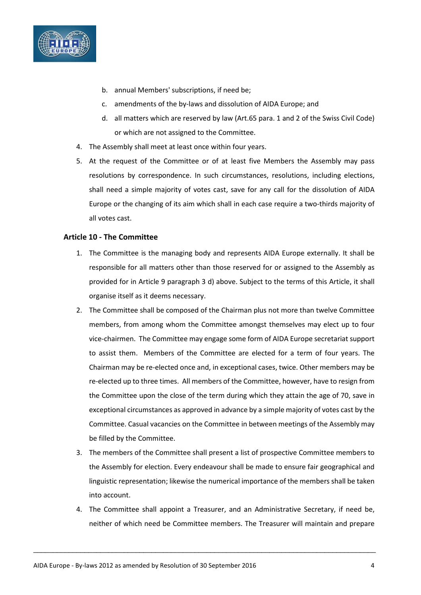

- b. annual Members' subscriptions, if need be;
- c. amendments of the by-laws and dissolution of AIDA Europe; and
- d. all matters which are reserved by law (Art.65 para. 1 and 2 of the Swiss Civil Code) or which are not assigned to the Committee.
- 4. The Assembly shall meet at least once within four years.
- 5. At the request of the Committee or of at least five Members the Assembly may pass resolutions by correspondence. In such circumstances, resolutions, including elections, shall need a simple majority of votes cast, save for any call for the dissolution of AIDA Europe or the changing of its aim which shall in each case require a two-thirds majority of all votes cast.

#### **Article 10 - The Committee**

- 1. The Committee is the managing body and represents AIDA Europe externally. It shall be responsible for all matters other than those reserved for or assigned to the Assembly as provided for in Article 9 paragraph 3 d) above. Subject to the terms of this Article, it shall organise itself as it deems necessary.
- 2. The Committee shall be composed of the Chairman plus not more than twelve Committee members, from among whom the Committee amongst themselves may elect up to four vice-chairmen. The Committee may engage some form of AIDA Europe secretariat support to assist them. Members of the Committee are elected for a term of four years. The Chairman may be re-elected once and, in exceptional cases, twice. Other members may be re-elected up to three times. All members of the Committee, however, have to resign from the Committee upon the close of the term during which they attain the age of 70, save in exceptional circumstances as approved in advance by a simple majority of votes cast by the Committee. Casual vacancies on the Committee in between meetings of the Assembly may be filled by the Committee.
- 3. The members of the Committee shall present a list of prospective Committee members to the Assembly for election. Every endeavour shall be made to ensure fair geographical and linguistic representation; likewise the numerical importance of the members shall be taken into account.
- 4. The Committee shall appoint a Treasurer, and an Administrative Secretary, if need be, neither of which need be Committee members. The Treasurer will maintain and prepare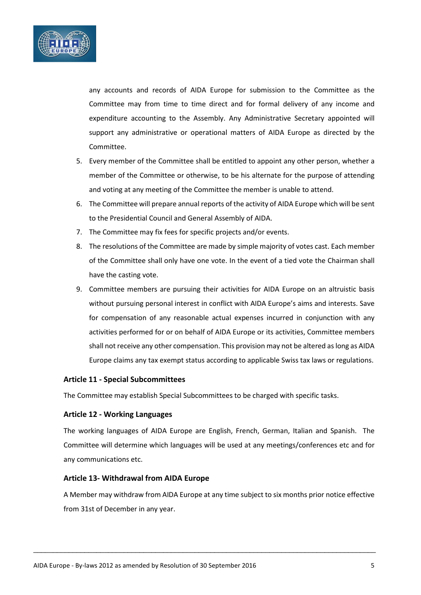

any accounts and records of AIDA Europe for submission to the Committee as the Committee may from time to time direct and for formal delivery of any income and expenditure accounting to the Assembly. Any Administrative Secretary appointed will support any administrative or operational matters of AIDA Europe as directed by the Committee.

- 5. Every member of the Committee shall be entitled to appoint any other person, whether a member of the Committee or otherwise, to be his alternate for the purpose of attending and voting at any meeting of the Committee the member is unable to attend.
- 6. The Committee will prepare annual reports of the activity of AIDA Europe which will be sent to the Presidential Council and General Assembly of AIDA.
- 7. The Committee may fix fees for specific projects and/or events.
- 8. The resolutions of the Committee are made by simple majority of votes cast. Each member of the Committee shall only have one vote. In the event of a tied vote the Chairman shall have the casting vote.
- 9. Committee members are pursuing their activities for AIDA Europe on an altruistic basis without pursuing personal interest in conflict with AIDA Europe's aims and interests. Save for compensation of any reasonable actual expenses incurred in conjunction with any activities performed for or on behalf of AIDA Europe or its activities, Committee members shall not receive any other compensation. This provision may not be altered as long as AIDA Europe claims any tax exempt status according to applicable Swiss tax laws or regulations.

## **Article 11 - Special Subcommittees**

The Committee may establish Special Subcommittees to be charged with specific tasks.

## **Article 12 - Working Languages**

The working languages of AIDA Europe are English, French, German, Italian and Spanish. The Committee will determine which languages will be used at any meetings/conferences etc and for any communications etc.

#### **Article 13- Withdrawal from AIDA Europe**

A Member may withdraw from AIDA Europe at any time subject to six months prior notice effective from 31st of December in any year.